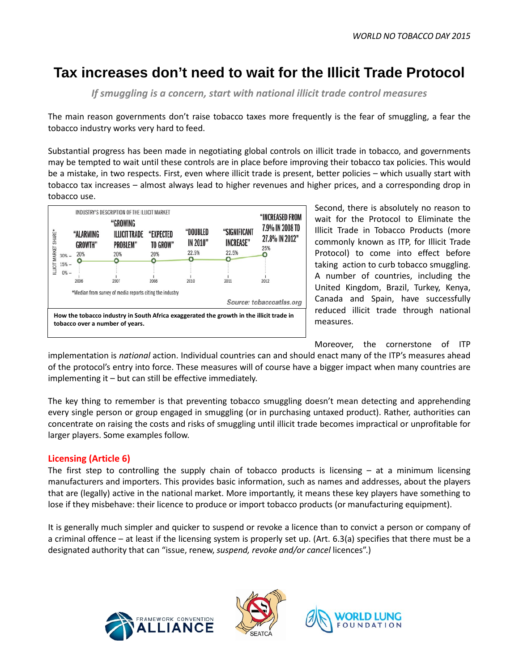# **Tax increases don't need to wait for the Illicit Trade Protocol**

*If smuggling is a concern, start with national illicit trade control measures*

The main reason governments don't raise tobacco taxes more frequently is the fear of smuggling, a fear the tobacco industry works very hard to feed.

Substantial progress has been made in negotiating global controls on illicit trade in tobacco, and governments may be tempted to wait until these controls are in place before improving their tobacco tax policies. This would be a mistake, in two respects. First, even where illicit trade is present, better policies – which usually start with tobacco tax increases – almost always lead to higher revenues and higher prices, and a corresponding drop in tobacco use.

| Source: tobaccoatlas.org<br>How the tobacco industry in South Africa exaggerated the growth in the illicit trade in<br>tobacco over a number of years. |                             |                                                                                                     |                                          |                               |                                    |                                                                  |
|--------------------------------------------------------------------------------------------------------------------------------------------------------|-----------------------------|-----------------------------------------------------------------------------------------------------|------------------------------------------|-------------------------------|------------------------------------|------------------------------------------------------------------|
|                                                                                                                                                        |                             | *Median from survey of media reports citing the industry                                            |                                          |                               |                                    |                                                                  |
| $15% -$<br>$0% -$                                                                                                                                      | 2006                        | 2007                                                                                                | 2008                                     | 2010                          | 2011                               | 2012                                                             |
| LLICIT MARKET SHARE*<br>$30% -$                                                                                                                        | "ALARMING<br>GROWTH"<br>20% | INDUSTRY'S DESCRIPTION OF THE ILLICIT MARKET<br>"GROWING<br><b>ILLICIT TRADE</b><br>PROBLEM"<br>20% | <b>"EXPECTED</b><br>TO GROW"<br>20%<br>٠ | "DOUBLED<br>IN 2010"<br>22.5% | "SIGNIFICANT<br>INCREASE"<br>22.5% | "INCREASED FROM<br>7.9% IN 2008 TO<br>27.8% IN 2012"<br>25%<br>o |

Second, there is absolutely no reason to wait for the Protocol to Eliminate the Illicit Trade in Tobacco Products (more commonly known as ITP, for Illicit Trade Protocol) to come into effect before taking action to curb tobacco smuggling. A number of countries, including the United Kingdom, Brazil, Turkey, Kenya, Canada and Spain, have successfully reduced illicit trade through national measures.

Moreover, the cornerstone of ITP

implementation is *national* action. Individual countries can and should enact many of the ITP's measures ahead of the protocol's entry into force. These measures will of course have a bigger impact when many countries are implementing it – but can still be effective immediately.

The key thing to remember is that preventing tobacco smuggling doesn't mean detecting and apprehending every single person or group engaged in smuggling (or in purchasing untaxed product). Rather, authorities can concentrate on raising the costs and risks of smuggling until illicit trade becomes impractical or unprofitable for larger players. Some examples follow.

## **Licensing (Article 6)**

The first step to controlling the supply chain of tobacco products is licensing  $-$  at a minimum licensing manufacturers and importers. This provides basic information, such as names and addresses, about the players that are (legally) active in the national market. More importantly, it means these key players have something to lose if they misbehave: their licence to produce or import tobacco products (or manufacturing equipment).

It is generally much simpler and quicker to suspend or revoke a licence than to convict a person or company of a criminal offence – at least if the licensing system is properly set up. (Art. 6.3(a) specifies that there must be a designated authority that can "issue, renew, *suspend, revoke and/or cancel* licences".)





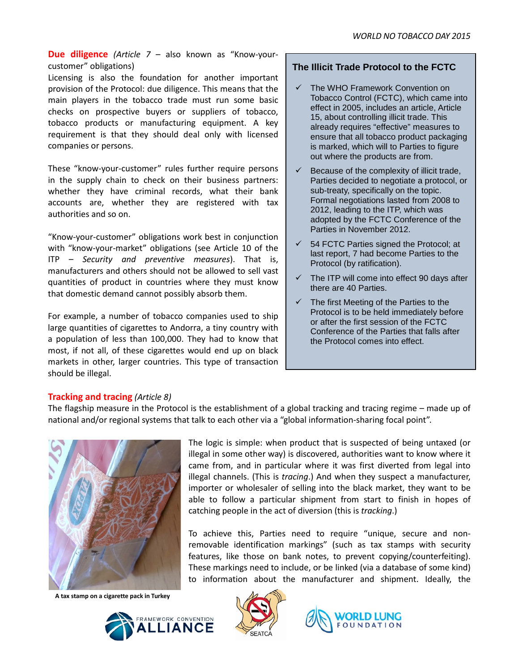#### **Due diligence** *(Article 7* – also known as "Know-yourcustomer" obligations)

Licensing is also the foundation for another important provision of the Protocol: due diligence. This means that the main players in the tobacco trade must run some basic checks on prospective buyers or suppliers of tobacco, tobacco products or manufacturing equipment. A key requirement is that they should deal only with licensed companies or persons.

These "know-your-customer" rules further require persons in the supply chain to check on their business partners: whether they have criminal records, what their bank accounts are, whether they are registered with tax authorities and so on.

"Know-your-customer" obligations work best in conjunction with "know-your-market" obligations (see Article 10 of the ITP – *Security and preventive measures*). That is, manufacturers and others should not be allowed to sell vast quantities of product in countries where they must know that domestic demand cannot possibly absorb them.

For example, a number of tobacco companies used to ship large quantities of cigarettes to Andorra, a tiny country with a population of less than 100,000. They had to know that most, if not all, of these cigarettes would end up on black markets in other, larger countries. This type of transaction should be illegal.

## **The Illicit Trade Protocol to the FCTC**

- The WHO Framework Convention on Tobacco Control (FCTC), which came into effect in 2005, includes an article, Article 15, about controlling illicit trade. This already requires "effective" measures to ensure that all tobacco product packaging is marked, which will to Parties to figure out where the products are from.
- $\checkmark$  Because of the complexity of illicit trade, Parties decided to negotiate a protocol, or sub-treaty, specifically on the topic. Formal negotiations lasted from 2008 to 2012, leading to the ITP, which was adopted by the FCTC Conference of the Parties in November 2012.
- $\checkmark$  54 FCTC Parties signed the Protocol; at last report, 7 had become Parties to the Protocol (by ratification).
- $\checkmark$  The ITP will come into effect 90 days after there are 40 Parties.
- The first Meeting of the Parties to the Protocol is to be held immediately before or after the first session of the FCTC Conference of the Parties that falls after the Protocol comes into effect.

## **Tracking and tracing** *(Article 8)*

The flagship measure in the Protocol is the establishment of a global tracking and tracing regime – made up of national and/or regional systems that talk to each other via a "global information-sharing focal point".



**A tax stamp on a cigarette pack in Turkey**

The logic is simple: when product that is suspected of being untaxed (or illegal in some other way) is discovered, authorities want to know where it came from, and in particular where it was first diverted from legal into illegal channels. (This is *tracing*.) And when they suspect a manufacturer, importer or wholesaler of selling into the black market, they want to be able to follow a particular shipment from start to finish in hopes of catching people in the act of diversion (this is *tracking*.)

To achieve this, Parties need to require "unique, secure and nonremovable identification markings" (such as tax stamps with security features, like those on bank notes, to prevent copying/counterfeiting). These markings need to include, or be linked (via a database of some kind) to information about the manufacturer and shipment. Ideally, the